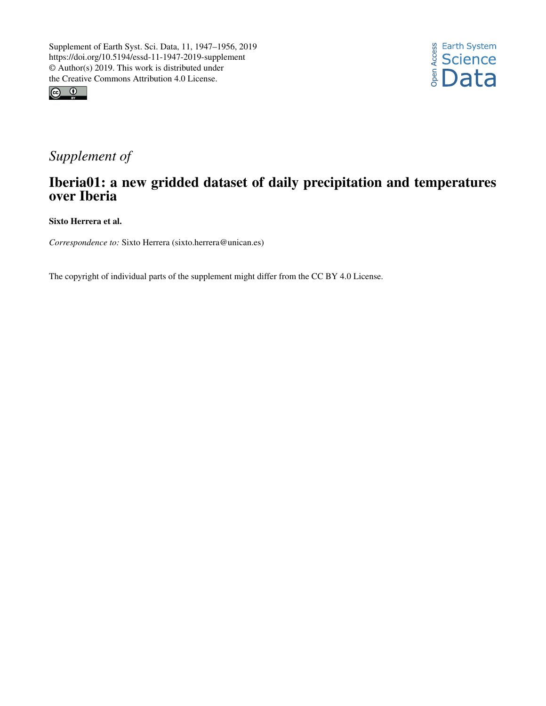



# *Supplement of*

# Iberia01: a new gridded dataset of daily precipitation and temperatures over Iberia

Sixto Herrera et al.

*Correspondence to:* Sixto Herrera (sixto.herrera@unican.es)

The copyright of individual parts of the supplement might differ from the CC BY 4.0 License.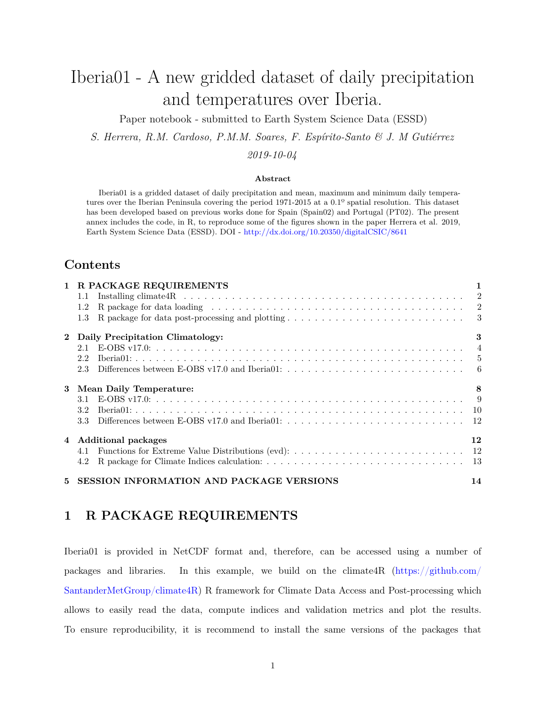# Iberia01 - A new gridded dataset of daily precipitation and temperatures over Iberia.

Paper notebook - submitted to Earth System Science Data (ESSD)

*S. Herrera, R.M. Cardoso, P.M.M. Soares, F. Espírito-Santo & J. M Gutiérrez*

*2019-10-04*

#### **Abstract**

Iberia01 is a gridded dataset of daily precipitation and mean, maximum and minimum daily temperatures over the Iberian Peninsula covering the period 1971-2015 at a 0.1º spatial resolution. This dataset has been developed based on previous works done for Spain (Spain02) and Portugal (PT02). The present annex includes the code, in R, to reproduce some of the figures shown in the paper Herrera et al. 2019, Earth System Science Data (ESSD). DOI - <http://dx.doi.org/10.20350/digitalCSIC/8641>

### **Contents**

|              | 1 R PACKAGE REQUIREMENTS                        |    |  |  |  |  |  |
|--------------|-------------------------------------------------|----|--|--|--|--|--|
|              | $1.1\,$                                         |    |  |  |  |  |  |
|              | 1.2                                             |    |  |  |  |  |  |
|              | $1.3\,$                                         |    |  |  |  |  |  |
| $\mathbf{2}$ | Daily Precipitation Climatology:                |    |  |  |  |  |  |
|              | 2.1                                             |    |  |  |  |  |  |
|              | 2.2                                             |    |  |  |  |  |  |
|              | 2.3                                             |    |  |  |  |  |  |
| 3            | Mean Daily Temperature:                         | 8  |  |  |  |  |  |
|              | 3.1                                             |    |  |  |  |  |  |
|              | 3.2                                             |    |  |  |  |  |  |
|              | 3.3                                             |    |  |  |  |  |  |
|              | 4 Additional packages                           |    |  |  |  |  |  |
|              |                                                 |    |  |  |  |  |  |
|              | 4.2                                             |    |  |  |  |  |  |
| 5            | <b>SESSION INFORMATION AND PACKAGE VERSIONS</b> | 14 |  |  |  |  |  |

## <span id="page-1-0"></span>**1 R PACKAGE REQUIREMENTS**

Iberia01 is provided in NetCDF format and, therefore, can be accessed using a number of packages and libraries. In this example, we build on the climate4R [\(https://github.com/](https://github.com/SantanderMetGroup/climate4R) [SantanderMetGroup/climate4R\)](https://github.com/SantanderMetGroup/climate4R) R framework for Climate Data Access and Post-processing which allows to easily read the data, compute indices and validation metrics and plot the results. To ensure reproducibility, it is recommend to install the same versions of the packages that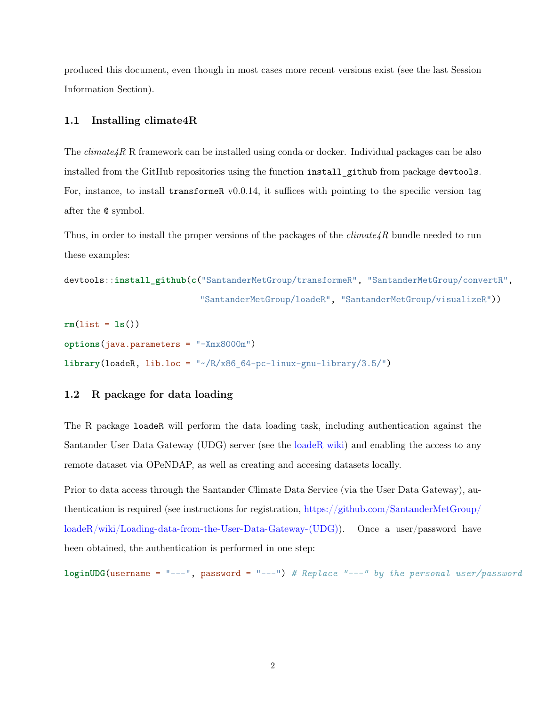produced this document, even though in most cases more recent versions exist (see the last Session Information Section).

#### <span id="page-2-0"></span>**1.1 Installing climate4R**

The  $climate_4R$  R framework can be installed using conda or docker. Individual packages can be also installed from the GitHub repositories using the function install\_github from package devtools. For, instance, to install transformer  $v0.0.14$ , it suffices with pointing to the specific version tag after the @ symbol.

Thus, in order to install the proper versions of the packages of the  $climate\{R$  bundle needed to run these examples:

```
devtools::install_github(c("SantanderMetGroup/transformeR", "SantanderMetGroup/convertR",
                           "SantanderMetGroup/loadeR", "SantanderMetGroup/visualizeR"))
```

```
rm(list = ls())
options(java.parameters = "-Xmx8000m")
library(loadeR, lib.loc = "~/R/x86_64-pc-linux-gnu-library/3.5/")
```
### <span id="page-2-1"></span>**1.2 R package for data loading**

The R package loadeR will perform the data loading task, including authentication against the Santander User Data Gateway (UDG) server (see the [loadeR wiki\)](https://github.com/SantanderMetGroup/loadeR/wiki) and enabling the access to any remote dataset via OPeNDAP, as well as creating and accesing datasets locally.

Prior to data access through the Santander Climate Data Service (via the User Data Gateway), authentication is required (see instructions for registration, [https://github.com/SantanderMetGroup/](https://github.com/SantanderMetGroup/loadeR/wiki/Loading-data-from-the-User-Data-Gateway-(UDG)) [loadeR/wiki/Loading-data-from-the-User-Data-Gateway-\(UDG\)\)](https://github.com/SantanderMetGroup/loadeR/wiki/Loading-data-from-the-User-Data-Gateway-(UDG)). Once a user/password have been obtained, the authentication is performed in one step:

**loginUDG**(username = "---", password = "---") *# Replace "---" by the personal user/password*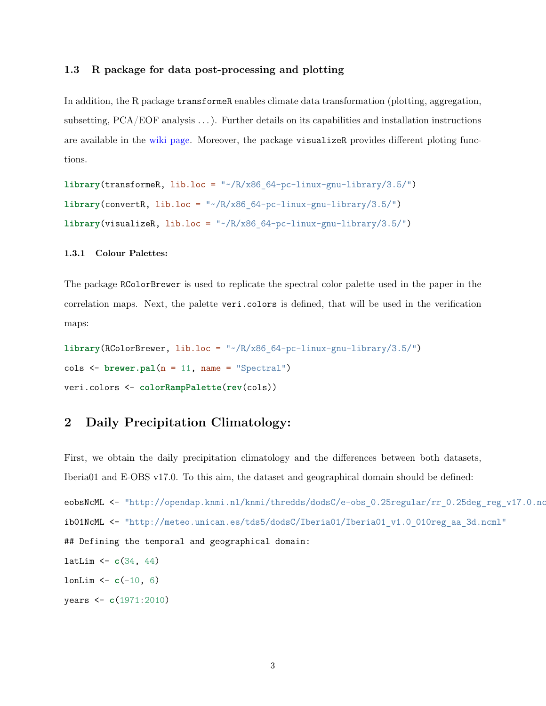#### <span id="page-3-0"></span>**1.3 R package for data post-processing and plotting**

In addition, the R package transformeR enables climate data transformation (plotting, aggregation, subsetting, PCA/EOF analysis . . . ). Further details on its capabilities and installation instructions are available in the [wiki page.](https://github.com/SantanderMetGroup/transformeR/wiki) Moreover, the package visualizeR provides different ploting functions.

```
library(transformeR, lib.loc = "~/R/x86_64-pc-linux-gnu-library/3.5/")
\text{library}(convertR, \text{ lib.loc} = "*/R/x86.64-pc-linux-gnu-library/3.5/")\text{library}(visualizeR, lib.loc = "~\text{/R}/x86~64-pc-linux-gnu-library/3.5/")
```
#### **1.3.1 Colour Palettes:**

The package RColorBrewer is used to replicate the spectral color palette used in the paper in the correlation maps. Next, the palette veri.colors is defined, that will be used in the verification maps:

**library**(RColorBrewer, lib.loc = "~/R/x86\_64-pc-linux-gnu-library/3.5/") cols <- **brewer.pal**(n = 11, name = "Spectral") veri.colors <- **colorRampPalette**(**rev**(cols))

# <span id="page-3-1"></span>**2 Daily Precipitation Climatology:**

First, we obtain the daily precipitation climatology and the differences between both datasets, Iberia01 and E-OBS v17.0. To this aim, the dataset and geographical domain should be defined: eobsNcML <- "http://opendap.knmi.nl/knmi/thredds/dodsC/e-obs 0.25regular/rr 0.25deg\_reg\_v17.0.nc ib01NcML <- "http://meteo.unican.es/tds5/dodsC/Iberia01/Iberia01\_v1.0\_010reg\_aa\_3d.ncml" ## Defining the temporal and geographical domain: latLim <- **c**(34, 44)  $l$ onLim  $\leq$  **c**(-10, 6) years <- **c**(1971:2010)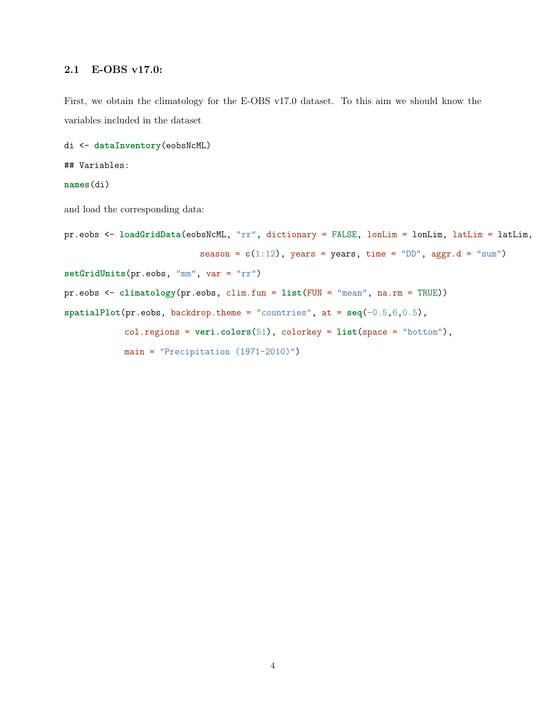### <span id="page-4-0"></span>**2.1 E-OBS v17.0:**

First, we obtain the climatology for the E-OBS v17.0 dataset. To this aim we should know the variables included in the dataset

```
di <- dataInventory(eobsNcML)
```
## Variables:

**names**(di)

and load the corresponding data:

```
pr.eobs <- loadGridData(eobsNcML, "rr", dictionary = FALSE, lonLim = lonLim, latLim = latLim,
                           season = c(1:12), years = years, time = "DD", aggr.d = "sum")
setGridUnits(pr.eobs, "mm", var = "rr")
pr.eobs <- climatology(pr.eobs, clim.fun = list(FUN = "mean", na.rm = TRUE))
spatialPlot(pr.eobs, backdrop. theme = "countries", at = seq(-0.5, 6, 0.5),col.regions = veri.colors(51), colorkey = list(space = "bottom"),
            main = "Precipitation (1971-2010)")
```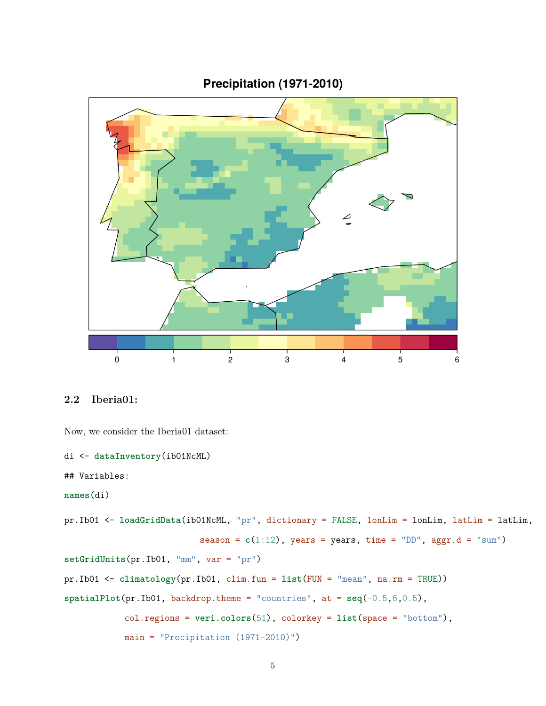

# Precipitation (1971-2010)

### <span id="page-5-0"></span>**2.2 Iberia01:**

Now, we consider the Iberia01 dataset:

```
di <- dataInventory(ib01NcML)
```
## Variables:

**names**(di)

```
pr.Ib01 <- loadGridData(ib01NcML, "pr", dictionary = FALSE, lonLim = lonLim, latLim = latLim,
                          season = c(1:12), years = years, time = "DD", aggr.d = "sum")
setGridUnits(pr.Ib01, "mm", var = "pr")
pr.Ib01 <- climatology(pr.Ib01, clim.fun = list(FUN = "mean", na.rm = TRUE))
spatialPlot(pr.Ib01, backdrop.theme = "countries", at = seq(-0.5,6,0.5),
            col.regions = veri.colors(51), colorkey = list(space = "bottom"),
            main = "Precipitation (1971-2010)")
```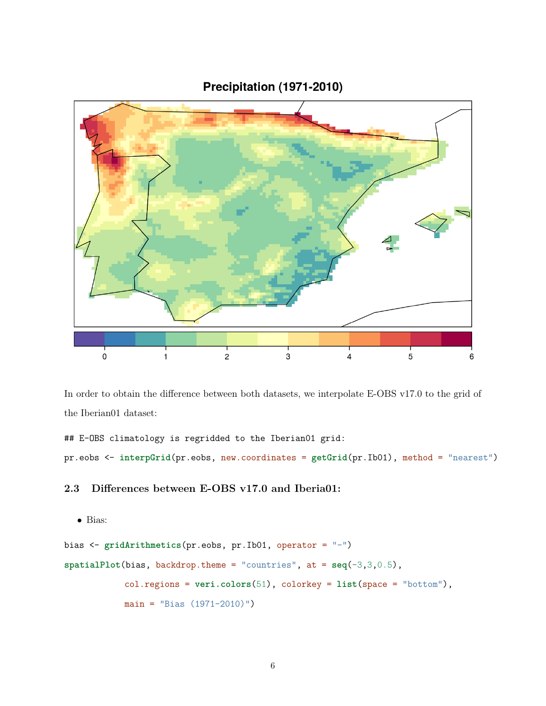Precipitation (1971-2010)



In order to obtain the difference between both datasets, we interpolate E-OBS v17.0 to the grid of the Iberian01 dataset:

## E-OBS climatology is regridded to the Iberian01 grid:

pr.eobs <- **interpGrid**(pr.eobs, new.coordinates = **getGrid**(pr.Ib01), method = "nearest")

### <span id="page-6-0"></span>**2.3 Differences between E-OBS v17.0 and Iberia01:**

```
• Bias:
```

```
bias <- gridArithmetics(pr.eobs, pr.Ib01, operator = "-")
spatialPlot(bias, backdrop.theme = "countries", at = seq(-3,3,0.5),
            col.regions = veri.colors(51), colorkey = list(space = "bottom"),
           main = "Bias (1971-2010)"
```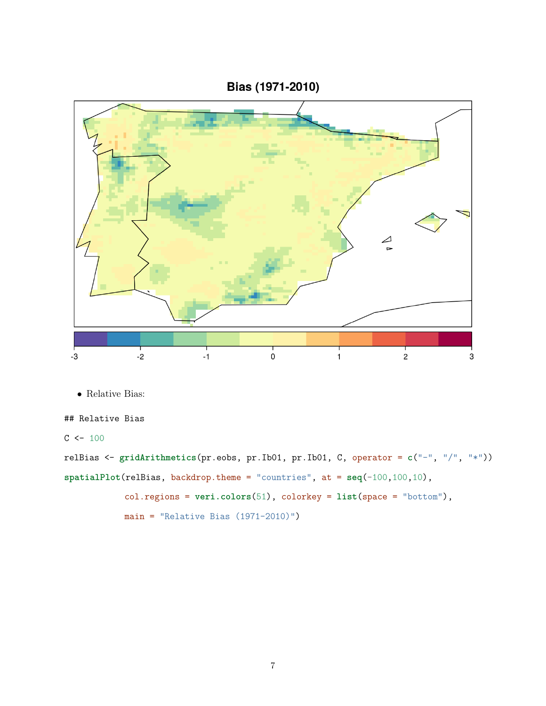Bias (1971-2010)



• Relative Bias:

## Relative Bias

 $C$  <- 100

relBias <- **gridArithmetics**(pr.eobs, pr.Ib01, pr.Ib01, C, operator = **c**("-", "/", "\*")) **spatialPlot**(relBias, backdrop.theme = "countries", at = **seq**(-100,100,10), col.regions = **veri.colors**(51), colorkey = **list**(space = "bottom"),  $main = "Relative Bias (1971-2010)"$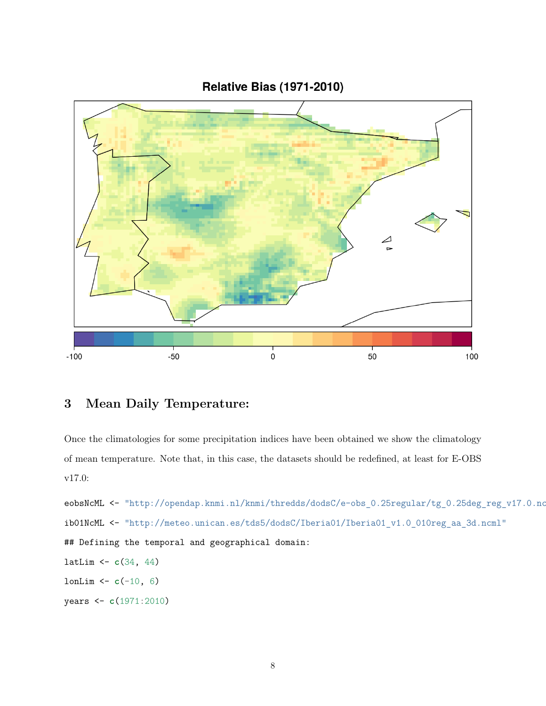**Relative Bias (1971-2010)** 



# <span id="page-8-0"></span>**3 Mean Daily Temperature:**

Once the climatologies for some precipitation indices have been obtained we show the climatology of mean temperature. Note that, in this case, the datasets should be redefined, at least for E-OBS v17.0:

eobsNcML <- "http://opendap.knmi.nl/knmi/thredds/dodsC/e-obs\_0.25regular/tg\_0.25deg\_reg\_v17.0.nc" ib01NcML <- "http://meteo.unican.es/tds5/dodsC/Iberia01/Iberia01\_v1.0\_010reg\_aa\_3d.ncml" ## Defining the temporal and geographical domain: latLim <- **c**(34, 44) lonLim <- **c**(-10, 6) years <- **c**(1971:2010)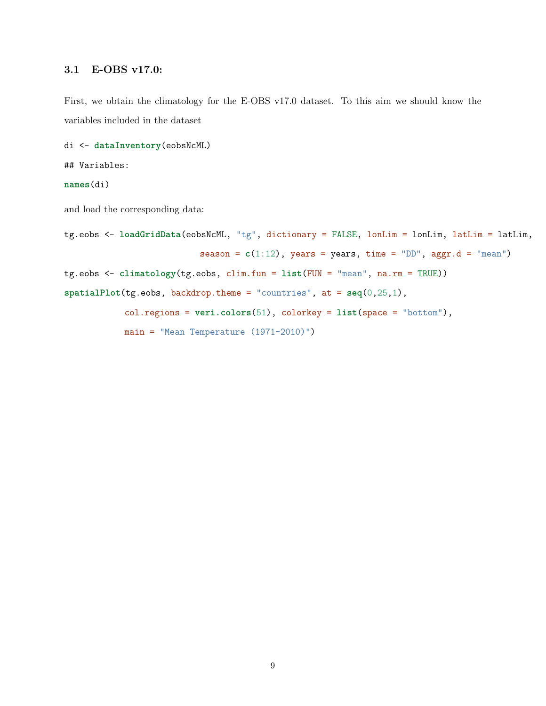### <span id="page-9-0"></span>**3.1 E-OBS v17.0:**

First, we obtain the climatology for the E-OBS v17.0 dataset. To this aim we should know the variables included in the dataset

```
di <- dataInventory(eobsNcML)
```
## Variables:

#### **names**(di)

and load the corresponding data:

```
tg.eobs <- loadGridData(eobsNcML, "tg", dictionary = FALSE, lonLim = lonLim, latLim = latLim,
                           season = c(1:12), years = years, time = "DD", aggr.d = "mean")
tg.eobs <- climatology(tg.eobs, clim.fun = list(FUN = "mean", na.rm = TRUE))
spatialPlot(tg.eobs, backdrop.theme = "countries", at = seq(0,25,1),
            col.regions = veri.colors(51), colorkey = list(space = "bottom"),
            main = "Mean Temperature (1971-2010)")
```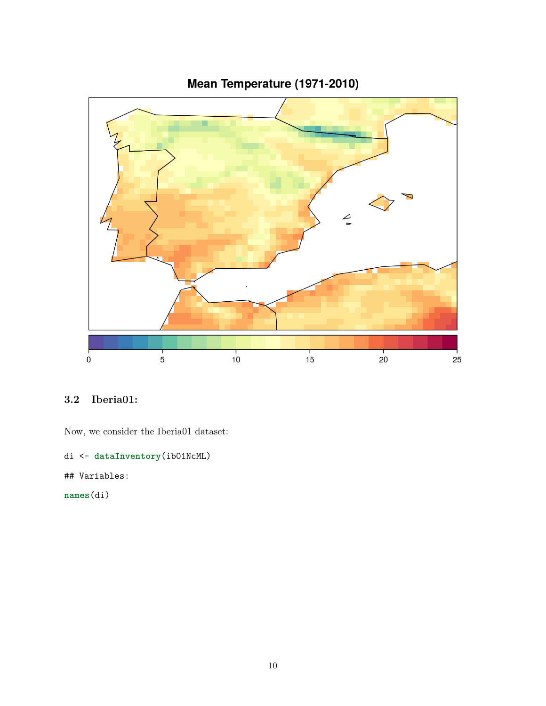

# Mean Temperature (1971-2010)

# <span id="page-10-0"></span>**3.2 Iberia01:**

Now, we consider the Iberia01 dataset:

```
di <- dataInventory(ib01NcML)
```
## Variables:

**names**(di)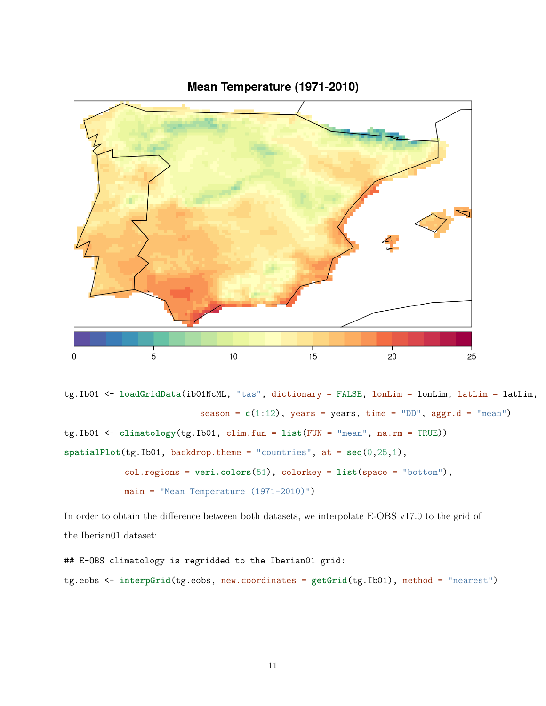



tg.Ib01 <- **loadGridData**(ib01NcML, "tas", dictionary = FALSE, lonLim = lonLim, latLim = latLim, season =  $c(1:12)$ , years = years, time = "DD", aggr.d = "mean") tg.Ib01 <- **climatology**(tg.Ib01, clim.fun = **list**(FUN = "mean", na.rm = TRUE)) **spatialPlot**(tg.Ib01, backdrop.theme = "countries", at = **seq**(0,25,1), col.regions = **veri.colors**(51), colorkey = **list**(space = "bottom"), main = "Mean Temperature (1971-2010)")

In order to obtain the difference between both datasets, we interpolate E-OBS v17.0 to the grid of the Iberian01 dataset:

```
## E-OBS climatology is regridded to the Iberian01 grid:
tg.eobs <- interpGrid(tg.eobs, new.coordinates = getGrid(tg.Ib01), method = "nearest")
```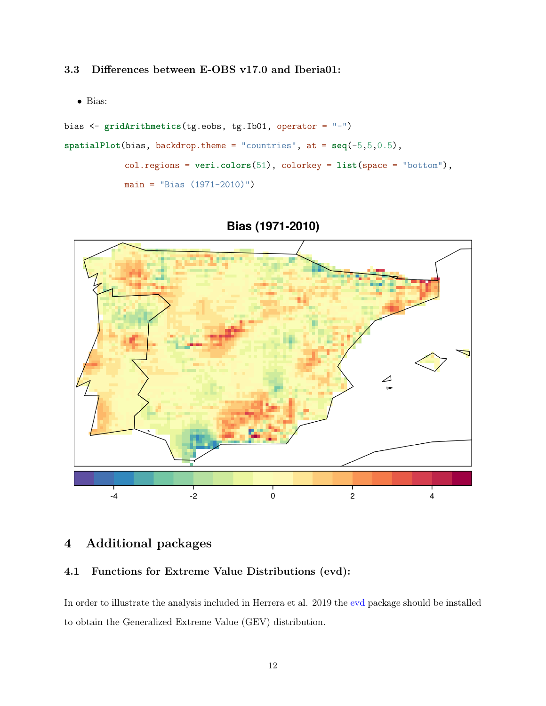<span id="page-12-0"></span>**3.3 Differences between E-OBS v17.0 and Iberia01:**

• Bias:

```
bias <- gridArithmetics(tg.eobs, tg.Ib01, operator = "-")
spatialPlot(bias, backdrop.theme = "countries", at = seq(-5,5,0.5),
            col.regions = veri.colors(51), colorkey = list(space = "bottom"),
            main = "Bias (1971-2010)")
```
Bias (1971-2010)



# <span id="page-12-1"></span>**4 Additional packages**

### <span id="page-12-2"></span>**4.1 Functions for Extreme Value Distributions (evd):**

In order to illustrate the analysis included in Herrera et al. 2019 the [evd](https://cran.r-project.org/web/packages/evd/index.html) package should be installed to obtain the Generalized Extreme Value (GEV) distribution.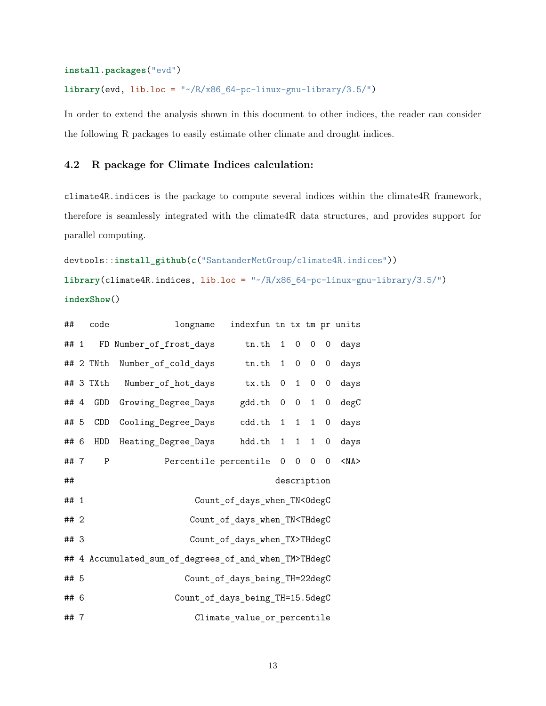#### **install.packages**("evd")

**library**(evd, lib.loc = "~/R/x86\_64-pc-linux-gnu-library/3.5/")

In order to extend the analysis shown in this document to other indices, the reader can consider the following R packages to easily estimate other climate and drought indices.

### <span id="page-13-0"></span>**4.2 R package for Climate Indices calculation:**

climate4R.indices is the package to compute several indices within the climate4R framework, therefore is seamlessly integrated with the climate4R data structures, and provides support for parallel computing.

```
devtools::install_github(c("SantanderMetGroup/climate4R.indices"))
library(climate4R.indices, lib.loc = "~/R/x86_64-pc-linux-gnu-library/3.5/")
indexShow()
```

| ##   |             | code                                                     | longname                | indexfun tn tx tm pr units |  |             |                |                |            |
|------|-------------|----------------------------------------------------------|-------------------------|----------------------------|--|-------------|----------------|----------------|------------|
| ##1  |             |                                                          | FD Number_of_frost_days | $tn.th$ 1 0 0 0            |  |             |                |                | days       |
|      |             | ## 2 TNth                                                | Number_of_cold_days     | $t$ n. $th$                |  | $1 \quad 0$ | $\overline{0}$ | $\overline{O}$ | days       |
|      |             | ## 3 TXth                                                | Number_of_hot_days      | tx.th                      |  |             | $0$ 1 0        | $\mathsf{O}$   | days       |
| ##4  |             | GDD                                                      | Growing_Degree_Days     | $\text{gdd.th}$ 0 0 1      |  |             |                | $\mathsf{O}$   | degC       |
| ## 5 |             | <b>CDD</b>                                               | Cooling Degree Days     | $cdd.th$ 1 1 1             |  |             |                | $\mathsf{O}$   | days       |
| ## 6 |             | HDD                                                      | Heating_Degree_Days     | hdd.th 1 1 1               |  |             |                | 0              | days       |
| ##7  |             | P                                                        |                         | Percentile percentile 0 0  |  |             | 0              | $\mathbf 0$    | $<$ NA $>$ |
| ##   | description |                                                          |                         |                            |  |             |                |                |            |
| ## 1 |             | Count_of_days_when_TN<0degC                              |                         |                            |  |             |                |                |            |
| ##2  |             | Count_of_days_when_TN <thdegc< td=""><td></td></thdegc<> |                         |                            |  |             |                |                |            |
| ## 3 |             | Count_of_days_when_TX>THdegC                             |                         |                            |  |             |                |                |            |
|      |             | ## 4 Accumulated_sum_of_degrees_of_and_when_TM>THdegC    |                         |                            |  |             |                |                |            |
| ## 5 |             | Count_of_days_being_TH=22degC                            |                         |                            |  |             |                |                |            |
| ## 6 |             | Count_of_days_being_TH=15.5degC                          |                         |                            |  |             |                |                |            |
| ##7  |             | Climate_value_or_percentile                              |                         |                            |  |             |                |                |            |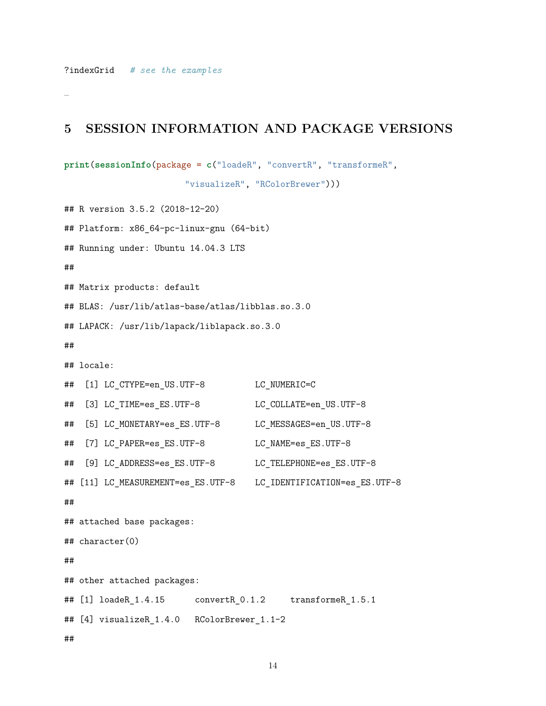–

### <span id="page-14-0"></span>**5 SESSION INFORMATION AND PACKAGE VERSIONS**

```
print(sessionInfo(package = c("loadeR", "convertR", "transformeR",
```
"visualizeR", "RColorBrewer")))

## R version 3.5.2 (2018-12-20) ## Platform: x86 64-pc-linux-gnu (64-bit) ## Running under: Ubuntu 14.04.3 LTS ## ## Matrix products: default ## BLAS: /usr/lib/atlas-base/atlas/libblas.so.3.0 ## LAPACK: /usr/lib/lapack/liblapack.so.3.0 ## ## locale: ## [1] LC CTYPE=en US.UTF-8 LC NUMERIC=C ## [3] LC TIME=es ES.UTF-8 LC COLLATE=en US.UTF-8 ## [5] LC\_MONETARY=es\_ES.UTF-8 LC\_MESSAGES=en\_US.UTF-8 ## [7] LC PAPER=es ES.UTF-8 LC NAME=es ES.UTF-8 ## [9] LC\_ADDRESS=es\_ES.UTF-8 LC\_TELEPHONE=es\_ES.UTF-8 ## [11] LC\_MEASUREMENT=es\_ES.UTF-8 LC\_IDENTIFICATION=es\_ES.UTF-8 ## ## attached base packages: ## character(0) ## ## other attached packages: ## [1] loadeR\_1.4.15 convertR\_0.1.2 transformeR\_1.5.1 ## [4] visualizeR\_1.4.0 RColorBrewer\_1.1-2

##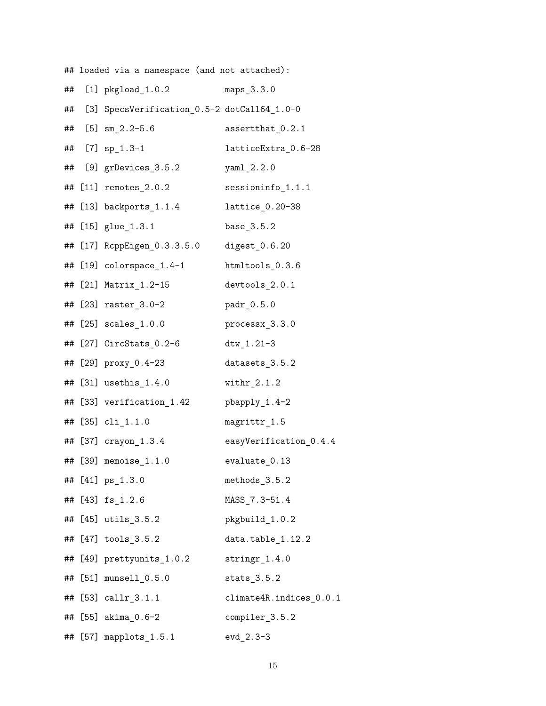## loaded via a namespace (and not attached):

| ## | [1] $pkgload_1.0.2$                         | maps 3.3.0                    |
|----|---------------------------------------------|-------------------------------|
| ## | [3] SpecsVerification_0.5-2 dotCall64_1.0-0 |                               |
| ## | $[5]$ sm $2.2-5.6$                          | assertthat_0.2.1              |
| ## | $[7]$ sp_1.3-1                              | latticeExtra_0.6-28           |
| ## | [9] grDevices_3.5.2                         | $yaml_2.2.0$                  |
| ## | $[11]$ remotes $2.0.2$                      | $\texttt{sessioninfo}\_1.1.1$ |
| ## | $[13]$ backports $1.1.4$                    | lattice_0.20-38               |
| ## | $[15]$ glue $[1.3.1]$                       | base_3.5.2                    |
| ## | [17] RcppEigen_0.3.3.5.0                    | digest $0.6.20$               |
| ## | $[19]$ colorspace 1.4-1                     | htmltools_0.3.6               |
|    | ## [21] Matrix_1.2-15                       | devtools 2.0.1                |
|    | ## [23] raster 3.0-2                        | padr 0.5.0                    |
| ## | $[25]$ scales $1.0.0$                       | processx_3.3.0                |
|    | ## [27] CircStats_0.2-6                     | $dtw_1.21-3$                  |
|    | ## [29] proxy_0.4-23                        | datasets_3.5.2                |
|    | ## [31] usethis_1.4.0                       | $withr_2.1.2$                 |
|    | ## [33] verification_1.42                   | pbapply_1.4-2                 |
|    | ## [35] cli_1.1.0                           | magrittr_1.5                  |
|    | ## [37] crayon_1.3.4                        | easyVerification_0.4.4        |
|    | ## [39] memoise_1.1.0                       | evaluate_0.13                 |
|    | ## [41] ps_1.3.0                            | methods 3.5.2                 |
|    | ## [43] fs_1.2.6                            | MASS_7.3-51.4                 |
|    | ## [45] utils_3.5.2                         | pkgbuild_1.0.2                |
|    | ## [47] tools_3.5.2                         | data.table_1.12.2             |
|    | ## [49] prettyunits_1.0.2                   | $stringr_1.4.0$               |
|    | ## [51] munsell_0.5.0                       | $\texttt{stats}\_3.5.2$       |
| ## | $[53]$ callr $_3.1.1$                       | climate4R.indices_0.0.1       |
|    | ## [55] akima_0.6-2                         | compiler_3.5.2                |
|    | ## [57] mapplots_1.5.1                      | $evd_2.3-3$                   |